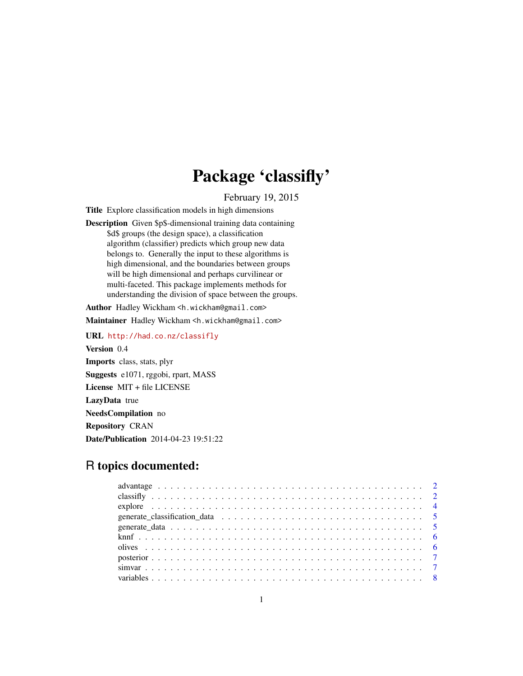## Package 'classifly'

February 19, 2015

<span id="page-0-0"></span>Title Explore classification models in high dimensions

Description Given \$p\$-dimensional training data containing \$d\$ groups (the design space), a classification algorithm (classifier) predicts which group new data belongs to. Generally the input to these algorithms is high dimensional, and the boundaries between groups will be high dimensional and perhaps curvilinear or multi-faceted. This package implements methods for understanding the division of space between the groups.

Author Hadley Wickham <h.wickham@gmail.com>

Maintainer Hadley Wickham <h.wickham@gmail.com>

URL <http://had.co.nz/classifly> Version 0.4 Imports class, stats, plyr Suggests e1071, rggobi, rpart, MASS License MIT + file LICENSE LazyData true NeedsCompilation no Repository CRAN Date/Publication 2014-04-23 19:51:22

### R topics documented: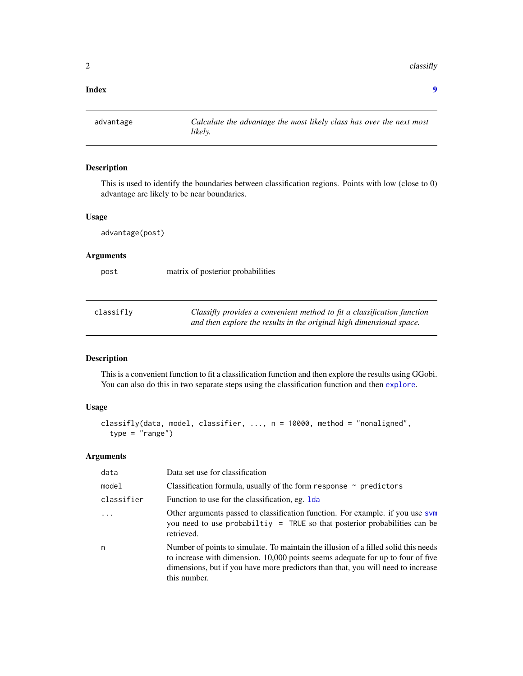<span id="page-1-0"></span> $2 \,$  classifly

#### **Index** [9](#page-8-0)

<span id="page-1-1"></span>advantage *Calculate the advantage the most likely class has over the next most likely.*

#### Description

This is used to identify the boundaries between classification regions. Points with low (close to 0) advantage are likely to be near boundaries.

#### Usage

advantage(post)

#### Arguments

post matrix of posterior probabilities

| classifly | Classifly provides a convenient method to fit a classification function |
|-----------|-------------------------------------------------------------------------|
|           | and then explore the results in the original high dimensional space.    |

#### Description

This is a convenient function to fit a classification function and then explore the results using GGobi. You can also do this in two separate steps using the classification function and then [explore](#page-3-1).

#### Usage

```
classifly(data, model, classifier, ..., n = 10000, method = "nonaligned",
  type = "range")
```
#### Arguments

| data       | Data set use for classification                                                                                                                                                                                                                                            |
|------------|----------------------------------------------------------------------------------------------------------------------------------------------------------------------------------------------------------------------------------------------------------------------------|
| model      | Classification formula, usually of the form response $\sim$ predictors                                                                                                                                                                                                     |
| classifier | Function to use for the classification, eg. 1da                                                                                                                                                                                                                            |
|            | Other arguments passed to classification function. For example. if you use svm<br>you need to use probabiltiy = TRUE so that posterior probabilities can be<br>retrieved.                                                                                                  |
| n          | Number of points to simulate. To maintain the illusion of a filled solid this needs<br>to increase with dimension. 10,000 points seems adequate for up to four of five<br>dimensions, but if you have more predictors than that, you will need to increase<br>this number. |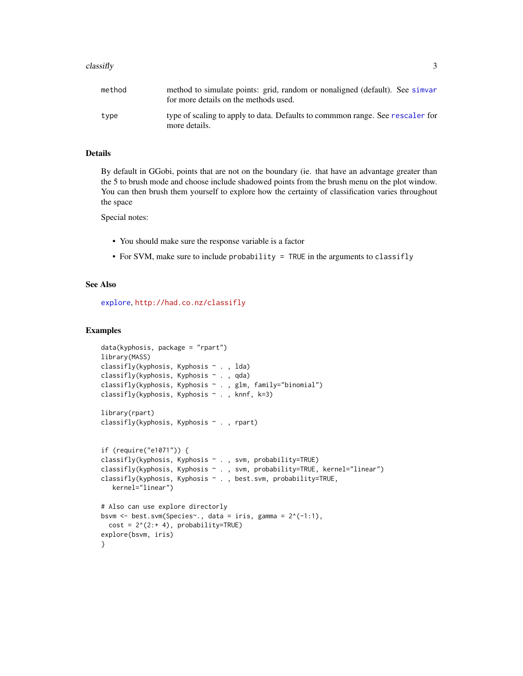#### <span id="page-2-0"></span> $\alpha$  classifly  $\beta$

| method | method to simulate points: grid, random or nonaligned (default). See simvar<br>for more details on the methods used. |
|--------|----------------------------------------------------------------------------------------------------------------------|
| type   | type of scaling to apply to data. Defaults to commmon range. See rescaler for<br>more details.                       |

#### Details

By default in GGobi, points that are not on the boundary (ie. that have an advantage greater than the 5 to brush mode and choose include shadowed points from the brush menu on the plot window. You can then brush them yourself to explore how the certainty of classification varies throughout the space

Special notes:

- You should make sure the response variable is a factor
- For SVM, make sure to include probability = TRUE in the arguments to classifly

#### See Also

[explore](#page-3-1), <http://had.co.nz/classifly>

#### Examples

```
data(kyphosis, package = "rpart")
library(MASS)
classifly(kyphosis, Kyphosis ~ . , lda)
classifly(kyphosis, Kyphosis ~ . , qda)
classifly(kyphosis, Kyphosis ~ . , glm, family="binomial")
classifly(kyphosis, Kyphosis ~ . , knnf, k=3)
library(rpart)
classifly(kyphosis, Kyphosis ~ . , rpart)
if (require("e1071")) {
classifly(kyphosis, Kyphosis ~ . , svm, probability=TRUE)
classifly(kyphosis, Kyphosis ~ . , svm, probability=TRUE, kernel="linear")
classifly(kyphosis, Kyphosis ~ . , best.svm, probability=TRUE,
  kernel="linear")
# Also can use explore directorly
bsvm <- best.svm(Species~., data = iris, gamma = 2^(-1:1),
 cost = 2^(2:+ 4), probability=TRUE)explore(bsvm, iris)
}
```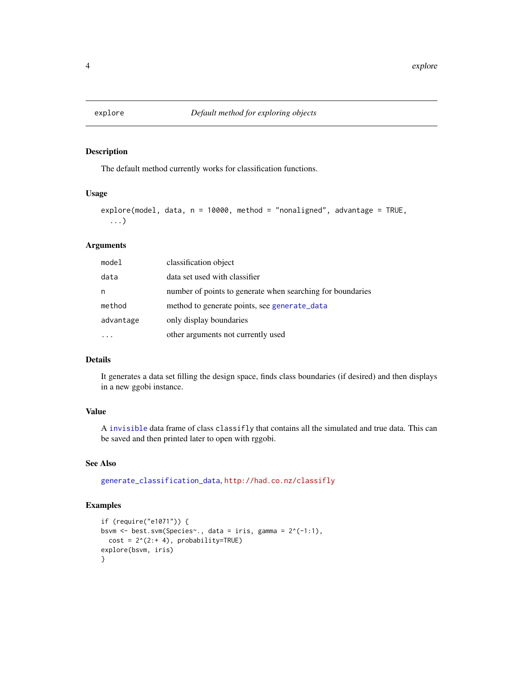<span id="page-3-1"></span><span id="page-3-0"></span>

#### Description

The default method currently works for classification functions.

#### Usage

```
explore(model, data, n = 10000, method = "nonaligned", advantage = TRUE,
  ...)
```
#### Arguments

| model     | classification object                                      |
|-----------|------------------------------------------------------------|
| data      | data set used with classifier                              |
| n         | number of points to generate when searching for boundaries |
| method    | method to generate points, see generate_data               |
| advantage | only display boundaries                                    |
|           | other arguments not currently used                         |

#### Details

It generates a data set filling the design space, finds class boundaries (if desired) and then displays in a new ggobi instance.

#### Value

A [invisible](#page-0-0) data frame of class classifly that contains all the simulated and true data. This can be saved and then printed later to open with rggobi.

#### See Also

[generate\\_classification\\_data](#page-4-2), <http://had.co.nz/classifly>

#### Examples

```
if (require("e1071")) {
bsvm <- best.svm(Species~., data = iris, gamma = 2^(-1:1),
  cost = 2^(2:+ 4), probability=TRUE)
explore(bsvm, iris)
}
```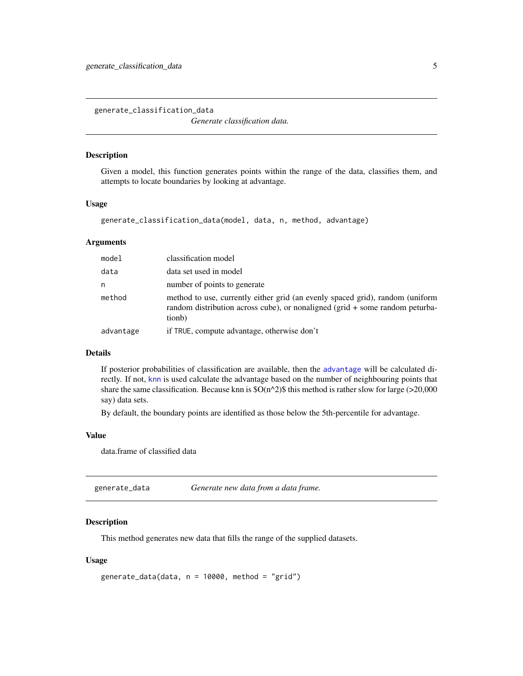<span id="page-4-2"></span><span id="page-4-0"></span>generate\_classification\_data

*Generate classification data.*

#### Description

Given a model, this function generates points within the range of the data, classifies them, and attempts to locate boundaries by looking at advantage.

#### Usage

```
generate_classification_data(model, data, n, method, advantage)
```
#### Arguments

| model     | classification model                                                                                                                                                    |
|-----------|-------------------------------------------------------------------------------------------------------------------------------------------------------------------------|
| data      | data set used in model                                                                                                                                                  |
| n         | number of points to generate                                                                                                                                            |
| method    | method to use, currently either grid (an evenly spaced grid), random (uniform<br>random distribution across cube), or nonaligned (grid + some random peturba-<br>tionb) |
| advantage | if TRUE, compute advantage, otherwise don't                                                                                                                             |

#### Details

If posterior probabilities of classification are available, then the [advantage](#page-1-1) will be calculated directly. If not, [knn](#page-0-0) is used calculate the advantage based on the number of neighbouring points that share the same classification. Because knn is  $\mathcal{S}O(n^2)\$  this method is rather slow for large (>20,000 say) data sets.

By default, the boundary points are identified as those below the 5th-percentile for advantage.

#### Value

data.frame of classified data

<span id="page-4-1"></span>generate\_data *Generate new data from a data frame.*

#### Description

This method generates new data that fills the range of the supplied datasets.

#### Usage

```
generate_data(data, n = 10000, method = "grid")
```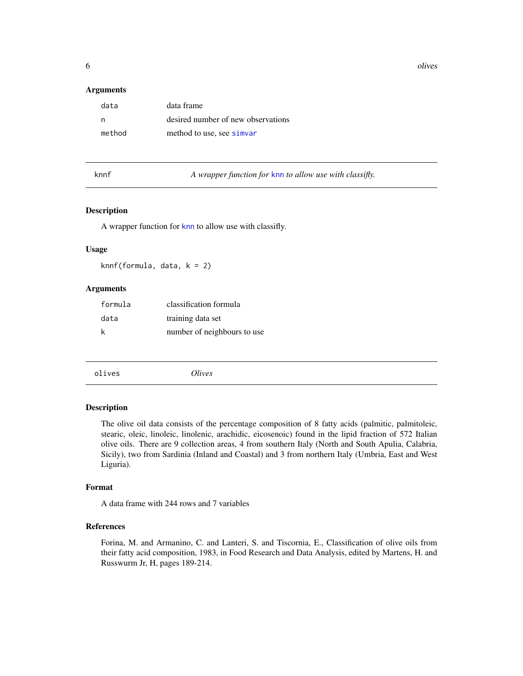<span id="page-5-0"></span>6 olives and the set of the set of the set of the set of the set of the set of the set of the set of the set of the set of the set of the set of the set of the set of the set of the set of the set of the set of the set of

#### Arguments

| data   | data frame                         |
|--------|------------------------------------|
| n      | desired number of new observations |
| method | method to use, see simvar          |

knnf *A wrapper function for* [knn](#page-0-0) *to allow use with classifly.*

#### Description

A wrapper function for [knn](#page-0-0) to allow use with classifly.

#### Usage

knnf(formula, data, k = 2)

#### Arguments

| formula | classification formula      |
|---------|-----------------------------|
| data    | training data set           |
| k       | number of neighbours to use |

| olives | Olives |
|--------|--------|
|--------|--------|

#### Description

The olive oil data consists of the percentage composition of 8 fatty acids (palmitic, palmitoleic, stearic, oleic, linoleic, linolenic, arachidic, eicosenoic) found in the lipid fraction of 572 Italian olive oils. There are 9 collection areas, 4 from southern Italy (North and South Apulia, Calabria, Sicily), two from Sardinia (Inland and Coastal) and 3 from northern Italy (Umbria, East and West Liguria).

#### Format

A data frame with 244 rows and 7 variables

#### References

Forina, M. and Armanino, C. and Lanteri, S. and Tiscornia, E., Classification of olive oils from their fatty acid composition, 1983, in Food Research and Data Analysis, edited by Martens, H. and Russwurm Jr, H, pages 189-214.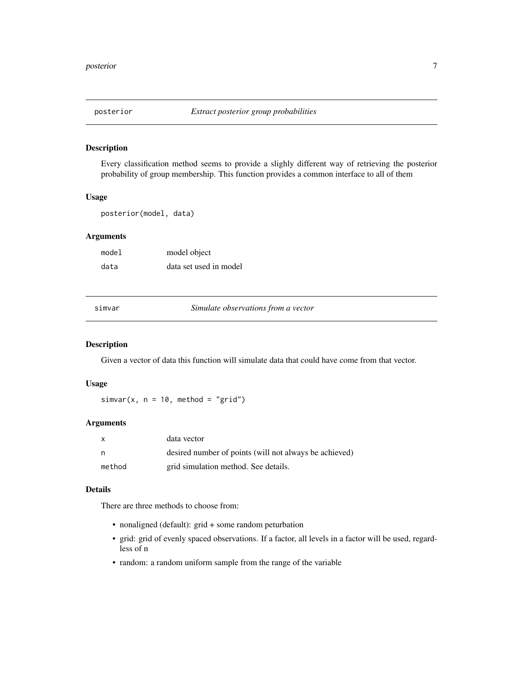<span id="page-6-0"></span>

#### Description

Every classification method seems to provide a slighly different way of retrieving the posterior probability of group membership. This function provides a common interface to all of them

#### Usage

posterior(model, data)

#### Arguments

model model object data data set used in model

<span id="page-6-1"></span>simvar *Simulate observations from a vector*

#### Description

Given a vector of data this function will simulate data that could have come from that vector.

#### Usage

 $simar(x, n = 10, method = "grid")$ 

#### Arguments

| X      | data vector                                            |
|--------|--------------------------------------------------------|
| - n    | desired number of points (will not always be achieved) |
| method | grid simulation method. See details.                   |

#### Details

There are three methods to choose from:

- nonaligned (default): grid + some random peturbation
- grid: grid of evenly spaced observations. If a factor, all levels in a factor will be used, regardless of n
- random: a random uniform sample from the range of the variable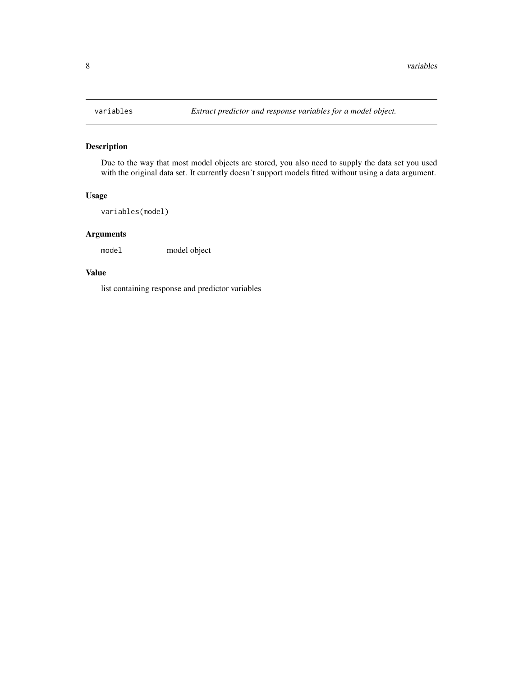<span id="page-7-0"></span>

#### Description

Due to the way that most model objects are stored, you also need to supply the data set you used with the original data set. It currently doesn't support models fitted without using a data argument.

#### Usage

variables(model)

#### Arguments

model model object

#### Value

list containing response and predictor variables